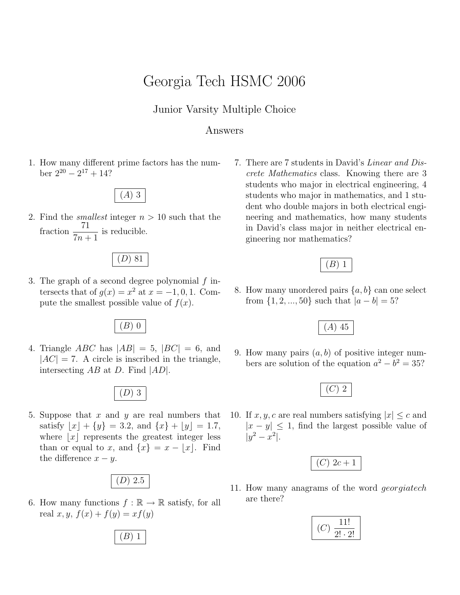# Georgia Tech HSMC 2006

### Junior Varsity Multiple Choice

#### Answers

1. How many different prime factors has the number  $2^{20} - 2^{17} + 14$ ?

## (A) 3

2. Find the *smallest* integer  $n > 10$  such that the fraction  $\frac{71}{7}$  $7n + 1$ is reducible.

### (D) 81

3. The graph of a second degree polynomial  $f$  intersects that of  $g(x) = x^2$  at  $x = -1, 0, 1$ . Compute the smallest possible value of  $f(x)$ .

(B) 0

4. Triangle *ABC* has  $|AB| = 5$ ,  $|BC| = 6$ , and  $|AC| = 7$ . A circle is inscribed in the triangle, intersecting  $AB$  at D. Find  $|AD|$ .

 $(D)$  3

5. Suppose that  $x$  and  $y$  are real numbers that satisfy  $|x| + \{y\} = 3.2$ , and  $\{x\} + |y| = 1.7$ , where  $|x|$  represents the greatest integer less than or equal to x, and  $\{x\} = x - |x|$ . Find the difference  $x - y$ .

$$
(D) 2.5
$$

6. How many functions  $f : \mathbb{R} \to \mathbb{R}$  satisfy, for all real  $x, y, f(x) + f(y) = xf(y)$ 

7. There are 7 students in David's Linear and Discrete Mathematics class. Knowing there are 3 students who major in electrical engineering, 4 students who major in mathematics, and 1 student who double majors in both electrical engineering and mathematics, how many students in David's class major in neither electrical engineering nor mathematics?



8. How many unordered pairs  $\{a, b\}$  can one select from  $\{1, 2, ..., 50\}$  such that  $|a - b| = 5$ ?



9. How many pairs  $(a, b)$  of positive integer numbers are solution of the equation  $a^2 - b^2 = 35$ ?



10. If  $x, y, c$  are real numbers satisfying  $|x| \leq c$  and  $|x - y| \leq 1$ , find the largest possible value of  $|y^2 - x^2|$ .

|--|

11. How many anagrams of the word georgiatech are there?



 $(B)$  1